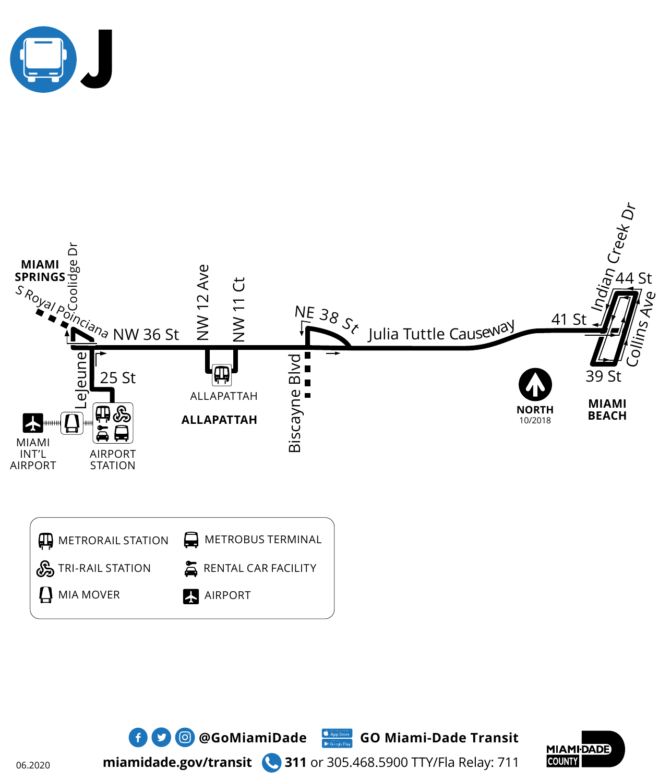





**miamidade.gov/transit 311** or 305.468.5900 TTY/Fla Relay: 711

06.2020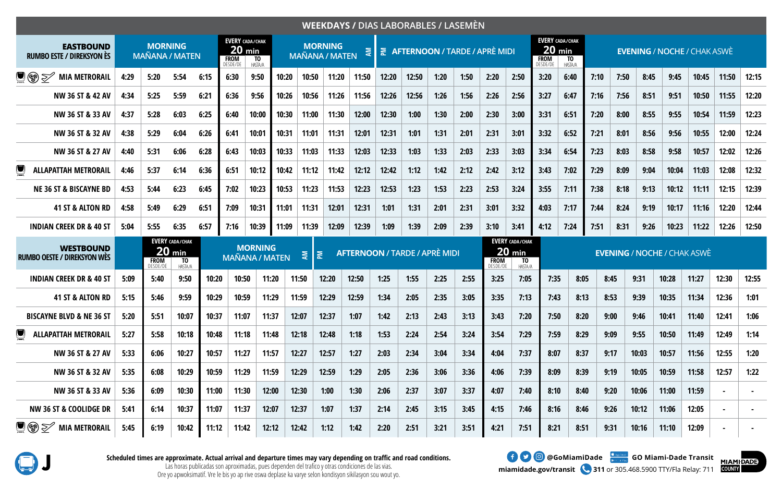|                                                                  |      |                                         |                                                            |       |                         |                                                                            |       |                                              |       |                                      |       |       |      | WEEKDAYS / DIAS LABORABLES / LASEMÈN |                                      |                                                     |                         |                                                     |      |      |       |       |                                    |                |                |
|------------------------------------------------------------------|------|-----------------------------------------|------------------------------------------------------------|-------|-------------------------|----------------------------------------------------------------------------|-------|----------------------------------------------|-------|--------------------------------------|-------|-------|------|--------------------------------------|--------------------------------------|-----------------------------------------------------|-------------------------|-----------------------------------------------------|------|------|-------|-------|------------------------------------|----------------|----------------|
| <b>EASTBOUND</b><br><b>RUMBO ESTE / DIREKSYON ÈS</b>             |      | <b>MORNING</b><br><b>MAÑANA / MATEN</b> |                                                            |       | <b>FROM</b><br>DESDE/DE | <b>EVERY CADA/CHAK</b><br>$20 \ \mathrm{min}$<br>T <sub>0</sub><br>HASTA/A |       | <b>MORNING</b><br>ξ<br><b>MAÑANA / MATEN</b> |       |                                      |       |       |      |                                      | <b>AFTERNOON / TARDE / APRÈ MIDI</b> |                                                     | <b>FROM</b><br>DESDE/DE | <b>EVERY CADA/CHAK</b><br>$20$ min<br>TO<br>HASTA/A |      |      |       |       | <b>EVENING / NOCHE / CHAK ASWÈ</b> |                |                |
| $\blacksquare$ (\$) $\geqslant$<br><b>MIA METRORAIL</b>          | 4:29 | 5:20                                    | 5:54                                                       | 6:15  | 6:30                    | 9:50                                                                       | 10:20 | 10:50                                        | 11:20 | 11:50                                | 12:20 | 12:50 | 1:20 | 1:50                                 | 2:20                                 | 2:50                                                | 3:20                    | 6:40                                                | 7:10 | 7:50 | 8:45  | 9:45  | 10:45                              | 11:50          | 12:15          |
| NW 36 ST & 42 AV                                                 | 4:34 | 5:25                                    | 5:59                                                       | 6:21  | 6:36                    | 9:56                                                                       | 10:26 | 10:56                                        | 11:26 | 11:56                                | 12:26 | 12:56 | 1:26 | 1:56                                 | 2:26                                 | 2:56                                                | 3:27                    | 6:47                                                | 7:16 | 7:56 | 8:51  | 9:51  | 10:50                              | 11:55          | 12:20          |
| NW 36 ST & 33 AV                                                 | 4:37 | 5:28                                    | 6:03                                                       | 6:25  | 6:40                    | 10:00                                                                      | 10:30 | 11:00                                        | 11:30 | 12:00                                | 12:30 | 1:00  | 1:30 | 2:00                                 | 2:30                                 | 3:00                                                | 3:31                    | 6:51                                                | 7:20 | 8:00 | 8:55  | 9:55  | 10:54                              | 11:59          | 12:23          |
| NW 36 ST & 32 AV                                                 | 4:38 | 5:29                                    | 6:04                                                       | 6:26  | 6:41                    | 10:01                                                                      | 10:31 | 11:01                                        | 11:31 | 12:01                                | 12:31 | 1:01  | 1:31 | 2:01                                 | 2:31                                 | 3:01                                                | 3:32                    | 6:52                                                | 7:21 | 8:01 | 8:56  | 9:56  | 10:55                              | 12:00          | 12:24          |
| NW 36 ST & 27 AV                                                 | 4:40 | 5:31                                    | 6:06                                                       | 6:28  | 6:43                    | 10:03                                                                      | 10:33 | 11:03                                        | 11:33 | 12:03                                | 12:33 | 1:03  | 1:33 | 2:03                                 | 2:33                                 | 3:03                                                | 3:34                    | 6:54                                                | 7:23 | 8:03 | 8:58  | 9:58  | 10:57                              | 12:02          | 12:26          |
| C<br><b>ALLAPATTAH METRORAIL</b>                                 | 4:46 | 5:37                                    | 6:14                                                       | 6:36  | 6:51                    | 10:12                                                                      | 10:42 | 11:12                                        | 11:42 | 12:12                                | 12:42 | 1:12  | 1:42 | 2:12                                 | 2:42                                 | 3:12                                                | 3:43                    | 7:02                                                | 7:29 | 8:09 | 9:04  | 10:04 | 11:03                              | 12:08          | 12:32          |
| <b>NE 36 ST &amp; BISCAYNE BD</b>                                | 4:53 | 5:44                                    | 6:23                                                       | 6:45  | 7:02                    | 10:23                                                                      | 10:53 | 11:23                                        | 11:53 | 12:23                                | 12:53 | 1:23  | 1:53 | 2:23                                 | 2:53                                 | 3:24                                                | 3:55                    | 7:11                                                | 7:38 | 8:18 | 9:13  | 10:12 | 11:11                              | 12:15          | 12:39          |
| 41 ST & ALTON RD                                                 | 4:58 | 5:49                                    | 6:29                                                       | 6:51  | 7:09                    | 10:31                                                                      | 11:01 | 11:31                                        | 12:01 | 12:31                                | 1:01  | 1:31  | 2:01 | 2:31                                 | 3:01                                 | 3:32                                                | 4:03                    | 7:17                                                | 7:44 | 8:24 | 9:19  | 10:17 | 11:16                              | 12:20          | 12:44          |
| <b>INDIAN CREEK DR &amp; 40 ST</b>                               | 5:04 | 5:55                                    | 6:35                                                       | 6:57  | 7:16                    | 10:39                                                                      | 11:09 | 11:39                                        | 12:09 | 12:39                                | 1:09  | 1:39  | 2:09 | 2:39                                 | 3:10                                 | 3:41                                                | 4:12                    | 7:24                                                | 7:51 | 8:31 | 9:26  | 10:23 | 11:22                              | 12:26          | 12:50          |
| <b>WESTBOUND</b><br><b>RUMBO OESTE / DIREKSYON WES</b>           |      | 20<br><b>FROM</b><br>DESDE/DE           | <b>EVERY CADA/CHAK</b><br>min<br>T <sub>0</sub><br>HASTA/A |       |                         | <b>MORNING</b><br><b>MAÑANA / MATEN</b>                                    |       | $\sum_{i=1}^{n}$<br>혽                        |       | <b>AFTERNOON / TARDE / APRÈ MIDI</b> |       |       |      |                                      | <b>FROM</b><br>DESDE/DE              | <b>EVERY CADA/CHAK</b><br>$20$ min<br>TO<br>HASTA/A |                         |                                                     |      |      |       |       | <b>EVENING / NOCHE / CHAK ASWÈ</b> |                |                |
| <b>INDIAN CREEK DR &amp; 40 ST</b>                               | 5:09 | 5:40                                    | 9:50                                                       | 10:20 | 10:50                   | 11:20                                                                      |       | 11:50                                        | 12:20 | 12:50                                | 1:25  | 1:55  | 2:25 | 2:55                                 | 3:25                                 | 7:05                                                | 7:35                    | 8:05                                                |      | 8:45 | 9:31  | 10:28 | 11:27                              | 12:30          | 12:55          |
| <b>41 ST &amp; ALTON RD</b>                                      | 5:15 | 5:46                                    | 9:59                                                       | 10:29 | 10:59                   | 11:29                                                                      |       | 11:59                                        | 12:29 | 12:59                                | 1:34  | 2:05  | 2:35 | 3:05                                 | 3:35                                 | 7:13                                                | 7:43                    | 8:13                                                |      | 8:53 | 9:39  | 10:35 | 11:34                              | 12:36          | 1:01           |
| <b>BISCAYNE BLVD &amp; NE 36 ST</b>                              | 5:20 | 5:51                                    | 10:07                                                      | 10:37 | 11:07                   | 11:37                                                                      |       | 12:07                                        | 12:37 | 1:07                                 | 1:42  | 2:13  | 2:43 | 3:13                                 | 3:43                                 | 7:20                                                | 7:50                    | 8:20                                                |      | 9:00 | 9:46  | 10:41 | 11:40                              | 12:41          | 1:06           |
| <b>ALLAPATTAH METRORAIL</b>                                      | 5:27 | 5:58                                    | 10:18                                                      | 10:48 | 11:18                   | 11:48                                                                      |       | 12:18                                        | 12:48 | 1:18                                 | 1:53  | 2:24  | 2:54 | 3:24                                 | 3:54                                 | 7:29                                                | 7:59                    | 8:29                                                |      | 9:09 | 9:55  | 10:50 | 11:49                              | 12:49          | 1:14           |
| NW 36 ST & 27 AV                                                 | 5:33 | 6:06                                    | 10:27                                                      | 10:57 | 11:27                   | 11:57                                                                      |       | 12:27                                        | 12:57 | 1:27                                 | 2:03  | 2:34  | 3:04 | 3:34                                 | 4:04                                 | 7:37                                                | 8:07                    | 8:37                                                |      | 9:17 | 10:03 | 10:57 | 11:56                              | 12:55          | 1:20           |
| NW 36 ST & 32 AV                                                 | 5:35 | 6:08                                    | 10:29                                                      | 10:59 | 11:29                   | 11:59                                                                      |       | 12:29                                        | 12:59 | 1:29                                 | 2:05  | 2:36  | 3:06 | 3:36                                 | 4:06                                 | 7:39                                                | 8:09                    | 8:39                                                |      | 9:19 | 10:05 | 10:59 | 11:58                              | 12:57          | 1:22           |
| NW 36 ST & 33 AV                                                 | 5:36 | 6:09                                    | 10:30                                                      | 11:00 | 11:30                   | 12:00                                                                      |       | 12:30                                        | 1:00  | 1:30                                 | 2:06  | 2:37  | 3:07 | 3:37                                 | 4:07                                 | 7:40                                                | 8:10                    | 8:40                                                |      | 9:20 | 10:06 | 11:00 | 11:59                              | $\blacksquare$ |                |
| <b>NW 36 ST &amp; COOLIDGE DR</b>                                | 5:41 | 6:14                                    | 10:37                                                      | 11:07 | 11:37                   | 12:07                                                                      |       | 12:37                                        | 1:07  | 1:37                                 | 2:14  | 2:45  | 3:15 | 3:45                                 | 4:15                                 | 7:46                                                | 8:16                    | 8:46                                                |      | 9:26 | 10:12 | 11:06 | 12:05                              | $\blacksquare$ | $\blacksquare$ |
| $\blacksquare$ $\textcircled{S}$ $\textcircled{S}$ mia metrorail | 5:45 | 6:19                                    | 10:42                                                      | 11:12 | 11:42                   | 12:12                                                                      |       | 12:42                                        | 1:12  | 1:42                                 | 2:20  | 2:51  | 3:21 | 3:51                                 | 4:21                                 | 7:51                                                | 8:21                    | 8:51                                                |      | 9:31 | 10:16 | 11:10 | 12:09                              |                |                |



Scheduled times are approximate. Actual arrival and departure times may vary depending on traffic and road conditions.<br>Las horas publicadas son aproximadas, pues dependen del trafico y otras condiciones de las vias.<br>Ore yo

**miamidade.gov/transit 311** or 305.468.5900 TTY/Fla Relay: 711



Las horas publicadas son aproximadas, pues dependen del trafico y otras condiciones de las vias. Ore yo apwoksimatif. Vre le bis yo ap rive oswa deplase ka varye selon kondisyon sikilasyon sou wout yo.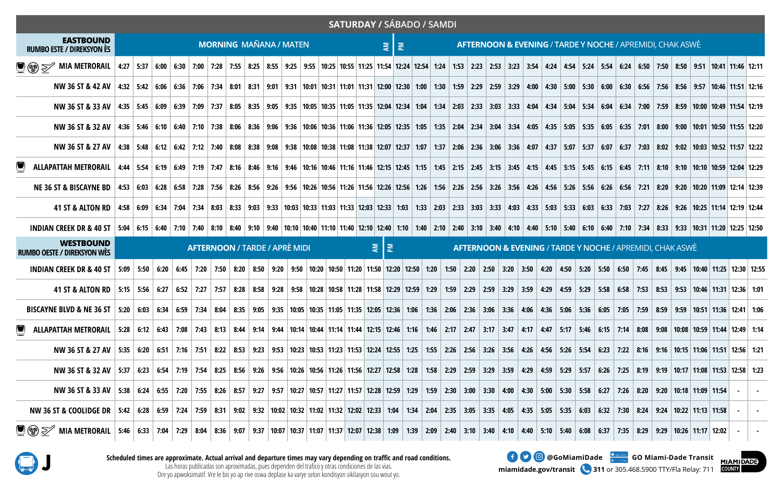|                                                                                                                                                                                                                                |                               |  |  |  |  |  |  |  |                               |  |  |  |  |                       |                                                                      | <b>SATURDAY / SÁBADO / SAMDI</b> |  |  |  |  |  |  |  |  |  |  |  |                                                                      |  |                                                                                                                                                                                           |  |
|--------------------------------------------------------------------------------------------------------------------------------------------------------------------------------------------------------------------------------|-------------------------------|--|--|--|--|--|--|--|-------------------------------|--|--|--|--|-----------------------|----------------------------------------------------------------------|----------------------------------|--|--|--|--|--|--|--|--|--|--|--|----------------------------------------------------------------------|--|-------------------------------------------------------------------------------------------------------------------------------------------------------------------------------------------|--|
| <b>EASTBOUND</b><br><b>RUMBO ESTE / DIREKSYON ES</b>                                                                                                                                                                           | <b>MORNING MAÑANA / MATEN</b> |  |  |  |  |  |  |  |                               |  |  |  |  | $\bar{z}$   $\bar{z}$ | <b>AFTERNOON &amp; EVENING / TARDE Y NOCHE / APREMIDI. CHAK ASWE</b> |                                  |  |  |  |  |  |  |  |  |  |  |  |                                                                      |  |                                                                                                                                                                                           |  |
| ■ ③ → MIA METRORAIL   4:27   5:37   6:00   6:30   7:00   7:28   7:55   8:25   8:55   9:55   9:55   10:25   11:25   11:34   12:24   12:54   1:24   1:53   2:23   2:53   3:23   3:54   4:24   4:54   5:24   5:54   6:50   7:50   |                               |  |  |  |  |  |  |  |                               |  |  |  |  |                       |                                                                      |                                  |  |  |  |  |  |  |  |  |  |  |  |                                                                      |  |                                                                                                                                                                                           |  |
| NW 36 ST & 42 AV                                                                                                                                                                                                               |                               |  |  |  |  |  |  |  |                               |  |  |  |  |                       |                                                                      |                                  |  |  |  |  |  |  |  |  |  |  |  |                                                                      |  | 4:32 5:42 6:06 6:36 7:06 7:34 8:01 8:31 9:01 9:31 10:01 10:31 11:01 11:31 12:00 12:30 1:00 1:30 1:59 2:29 2:59 3:29 4:00 4:30 5:00 5:30 6:00 6:30 6:06 7:56 8:56 9:57 10:46 11:51 12:16   |  |
| NW 36 ST & 33 AV   4:35   5:45   6:09   6:39   7:09   7:37   8:05   8:35   9:05   9:35   10:05   10:05   11:05   11:35   12:04   1:34   2:03   2:33   3:03   3:33   4:04   4:34   5:04   5:34   5:04   5:34   7:00   7:59   8: |                               |  |  |  |  |  |  |  |                               |  |  |  |  |                       |                                                                      |                                  |  |  |  |  |  |  |  |  |  |  |  |                                                                      |  |                                                                                                                                                                                           |  |
| NW 36 ST & 32 AV   4:36   5:46 6:10   6:40   7:10   7:38   8:06   8:36   9:06   9:36   10:06 10:36   11:06   11:36   12:05   1:35   2:04   2:34   3:04   3:34   4:05   4:35   5:05   5:35   5:05   5:35   5:05   5:35   5:07   |                               |  |  |  |  |  |  |  |                               |  |  |  |  |                       |                                                                      |                                  |  |  |  |  |  |  |  |  |  |  |  |                                                                      |  |                                                                                                                                                                                           |  |
| NW 36 ST & 27 AV   4:38   5:48   6:12   6:42   7:12   7:40   8:08   8:38   9:08   9:38   10:08   10:38   11:08   11:38   12:07   1:37   2:06   2:36   3:06   3:36   4:07   4:37   5:07   5:37   6:07   6:37   7:03   8:02   9: |                               |  |  |  |  |  |  |  |                               |  |  |  |  |                       |                                                                      |                                  |  |  |  |  |  |  |  |  |  |  |  |                                                                      |  |                                                                                                                                                                                           |  |
| ALLAPATTAH METRORAIL   4:44   5:54   6:19   6:49   7:19   7:47   8:16   8:46   9:16   9:46   10:16   10:46   11:16   12:15   2:15   2:15   2:15   2:15   3:15   3:15   3:15   3:45   4:15   5:45   5:15   5:45   6:15   5:45   |                               |  |  |  |  |  |  |  |                               |  |  |  |  |                       |                                                                      |                                  |  |  |  |  |  |  |  |  |  |  |  |                                                                      |  |                                                                                                                                                                                           |  |
| <b>NE 36 ST &amp; BISCAYNE BD</b>                                                                                                                                                                                              |                               |  |  |  |  |  |  |  |                               |  |  |  |  |                       |                                                                      |                                  |  |  |  |  |  |  |  |  |  |  |  |                                                                      |  | 4:53 6:03 6:28 6:58 7:28 7:56 8:26 8:56 9:26 9:56 10:26 10:56 11:26 11:56 12:26 12:56 1:56 12:26 2:56 3:26 2:56 3:26 2:56 5:26 5:56 6:26 5:56 6:26 2:11 8:20 9:20 10:20 11:09 12:14 12:39 |  |
| 41 ST & ALTON RD   4:58   6:09   6:34   7:04   7:34   8:03   8:33   9:03   9:33   1:03   1:03   1:33   1:03   1:33   2:03   2:33   3:03   3:33   4:03   4:33   5:03   5:33   5:03   5:33   7:03   7:27   8:26   9:26   9:26    |                               |  |  |  |  |  |  |  |                               |  |  |  |  |                       |                                                                      |                                  |  |  |  |  |  |  |  |  |  |  |  |                                                                      |  |                                                                                                                                                                                           |  |
| INDIAN CREEK DR & 40 ST   5:04   6:15   6:40   7:10   7:40   8:10   8:40   9:10   9:40   10:10   10:40   11:10   11:40   12:10   12:40   3:10   3:40   4:10   4:40   5:10   5:40   6:10   5:40   6:10   7:34   8:33   9:33   1 |                               |  |  |  |  |  |  |  |                               |  |  |  |  |                       |                                                                      |                                  |  |  |  |  |  |  |  |  |  |  |  |                                                                      |  |                                                                                                                                                                                           |  |
| <b>WESTBOUND</b><br><b>RUMBO OESTE / DIREKSYON WÈS</b>                                                                                                                                                                         |                               |  |  |  |  |  |  |  | AFTERNOON / TARDE / APRÈ MIDI |  |  |  |  | 회회                    |                                                                      |                                  |  |  |  |  |  |  |  |  |  |  |  | <b>AFTERNOON &amp; EVENING / TARDE Y NOCHE / APREMIDI, CHAK ASWE</b> |  |                                                                                                                                                                                           |  |
| INDIAN CREEK DR & 40 ST   5:09   5:50   6:20   6:45   7:20   6:45   7:20   7:50   8:20   8:50   9:20   9:50   10:50   11:20   11:50   12:00   12:50   1:20   1:50   2:20   2:50   3:20   3:50   4:20   5:50   5:50   5:50   7: |                               |  |  |  |  |  |  |  |                               |  |  |  |  |                       |                                                                      |                                  |  |  |  |  |  |  |  |  |  |  |  |                                                                      |  |                                                                                                                                                                                           |  |
| 41 ST & ALTON RD   5:15   5:56   6:27   6:52   7:27   7:57   8:28   8:58   9:28   9:28   9:28   9:28   9:28   10:28   10:38   11:28   11:38   12:39   12:9   1:59   2:29   2:59   3:29   3:59   4:29   4:39   5:58   5:58   5: |                               |  |  |  |  |  |  |  |                               |  |  |  |  |                       |                                                                      |                                  |  |  |  |  |  |  |  |  |  |  |  |                                                                      |  |                                                                                                                                                                                           |  |
| BISCAYNE BLVD & NE 36 ST   5:20   6:03   6:34   6:59   7:34   8:05   8:35   9:05   9:35   10:05   10:35   11:05   11:35   12:05   12:36   1:06   1:36   2:06   2:36   3:06   3:36   4:06   4:36   5:36   5:56   5:36   7:05    |                               |  |  |  |  |  |  |  |                               |  |  |  |  |                       |                                                                      |                                  |  |  |  |  |  |  |  |  |  |  |  |                                                                      |  |                                                                                                                                                                                           |  |
| U ALLAPATTAH METRORAIL 5:28 6:12 6:43 7:08 7:43 8:13 8:44 9:14 9:44 10:14 10:44 11:14 11:44 12:15 12:46 1:16 1:46 2:17 2:47 3:17 3:47 4:17 5:46 6:15 7:14 8:08 9:08 10:08 10:08 10:59 11:44 12:49 1:14                         |                               |  |  |  |  |  |  |  |                               |  |  |  |  |                       |                                                                      |                                  |  |  |  |  |  |  |  |  |  |  |  |                                                                      |  |                                                                                                                                                                                           |  |
| NW 36 ST & 27 AV   5:35   6:20   6:51   7:16   7:51   8:22   8:53   9:33   9:33   9:53   10:23   10:53   11:33   11:53   12:24   12:55   12:26   2:56   3:26   2:56   3:26   3:56   4:26   4:26   4:26   5:54   6:23   7:22    |                               |  |  |  |  |  |  |  |                               |  |  |  |  |                       |                                                                      |                                  |  |  |  |  |  |  |  |  |  |  |  |                                                                      |  |                                                                                                                                                                                           |  |
| NW 36 ST & 32 AV   5:37   6:23   6:54   7:19   7:54   8:25   8:56   9:26   9:36 10:26   10:36   11:26   11:36   12:37   12:58   3:27   2:58   12:3   1:38   2:29   3:59   3:59   4:29   4:59   5:57   5:26   3:25   8:19   9:1 |                               |  |  |  |  |  |  |  |                               |  |  |  |  |                       |                                                                      |                                  |  |  |  |  |  |  |  |  |  |  |  |                                                                      |  |                                                                                                                                                                                           |  |
| NW 36 ST & 33 AV   5:38   6:24   6:55   7:20   7:55   8:26   8:57   9:27   9:57   10:27   10:57   10:57   11:57   12:28   12:59   1:59   1:59   1:59   1:59   2:30   3:30   4:00   4:30   5:00   5:30   5:58   6:27   7:26   8 |                               |  |  |  |  |  |  |  |                               |  |  |  |  |                       |                                                                      |                                  |  |  |  |  |  |  |  |  |  |  |  |                                                                      |  |                                                                                                                                                                                           |  |
| NW 36 ST & COOLIDGE DR   5:42   6:28   6:39   7:24   7:59   8:31   9:02   9:32   10:02   10:32   11:02   11:32   12:02   12:33   1:04   1:33   1:04   1:34   2:04   2:35   3:05   3:35   4:05   4:05   4:05   4:05   5:35   5: |                               |  |  |  |  |  |  |  |                               |  |  |  |  |                       |                                                                      |                                  |  |  |  |  |  |  |  |  |  |  |  |                                                                      |  |                                                                                                                                                                                           |  |
|                                                                                                                                                                                                                                |                               |  |  |  |  |  |  |  |                               |  |  |  |  |                       |                                                                      |                                  |  |  |  |  |  |  |  |  |  |  |  |                                                                      |  |                                                                                                                                                                                           |  |

and the state



Scheduled times are approximate. Actual arrival and departure times may vary depending on traffic and road conditions.<br>Las horas publicadas son aproximadas, pues dependen del trafico y otras condiciones de las vias.<br>Ore y Ore yo apwoksimatif. Vre le bis yo ap rive oswa deplase ka varye selon kondisyon sikilasyon sou wout yo.

miamidade.gov/transit 311 or 305.468.5900 TTY/Fla Relay: 711 **10 @** @GoMiamiDade **Google Google Branch** GO Miami-Dade Transit